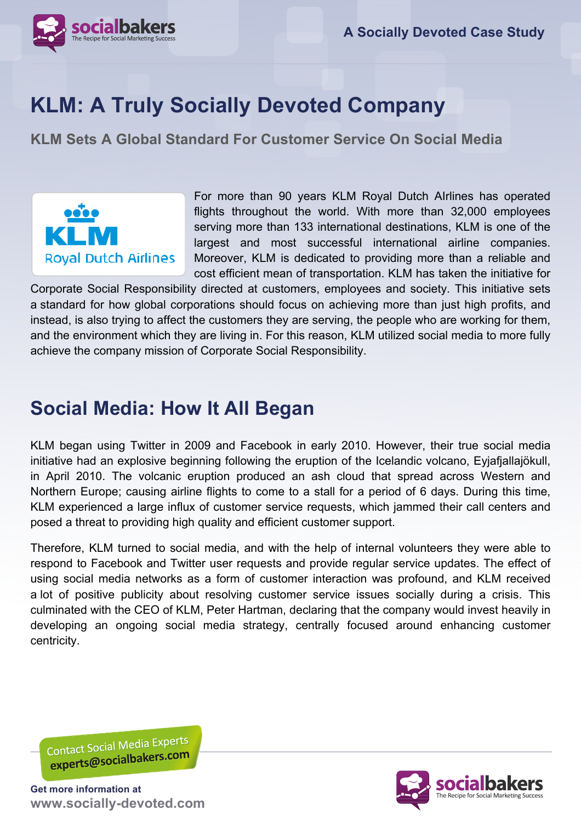

# **KLM: A Truly Socially Devoted Company**

**KLM Sets A Global Standard For Customer Service On Social Media** 



For more than 90 years KLM Royal Dutch AIrlines has operated flights throughout the world. With more than 32,000 employees serving more than 133 international destinations, KLM is one of the largest and most successful international airline companies. Moreover, KLM is dedicated to providing more than a reliable and cost efficient mean of transportation. KLM has taken the initiative for

Corporate Social Responsibility directed at customers, employees and society. This initiative sets a standard for how global corporations should focus on achieving more than just high profits, and instead, is also trying to affect the customers they are serving, the people who are working for them, and the environment which they are living in. For this reason, KLM utilized social media to more fully achieve the company mission of Corporate Social Responsibility.

## **Social Media: How It All Began**

KLM began using Twitter in 2009 and Facebook in early 2010. However, their true social media initiative had an explosive beginning following the eruption of the Icelandic volcano, Eyjafjallajökull, in April 2010. The volcanic eruption produced an ash cloud that spread across Western and Northern Europe; causing airline flights to come to a stall for a period of 6 days. During this time, KLM experienced a large influx of customer service requests, which jammed their call centers and posed a threat to providing high quality and efficient customer support.

Therefore, KLM turned to social media, and with the help of internal volunteers they were able to respond to Facebook and Twitter user requests and provide regular service updates. The effect of using social media networks as a form of customer interaction was profound, and KLM received a lot of positive publicity about resolving customer service issues socially during a crisis. This culminated with the CEO of KLM, Peter Hartman, declaring that the company would invest heavily in developing an ongoing social media strategy, centrally focused around enhancing customer centricity.

Contact Social Media Experts contact Social Iviedia Princeps

**Get more information at www.socially-devoted.com**

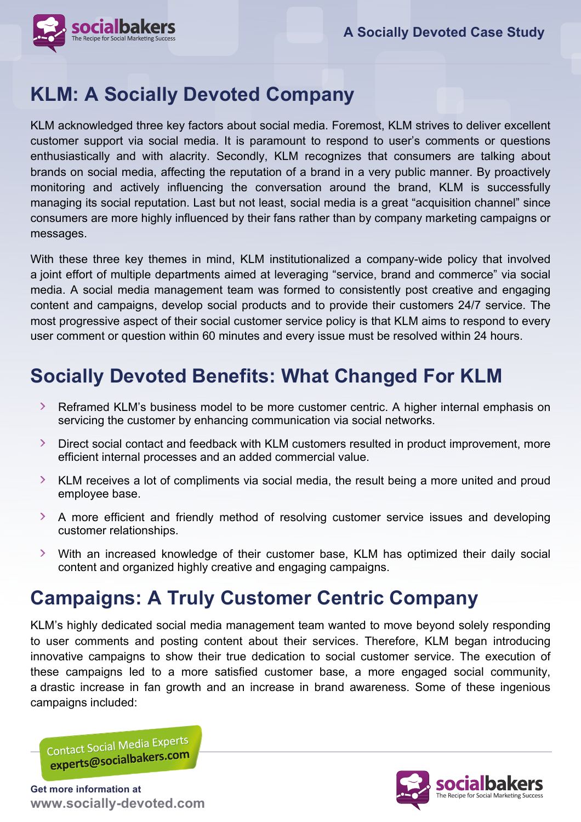

### **KLM: A Socially Devoted Company**

KLM acknowledged three key factors about social media. Foremost, KLM strives to deliver excellent customer support via social media. It is paramount to respond to user's comments or questions enthusiastically and with alacrity. Secondly, KLM recognizes that consumers are talking about brands on social media, affecting the reputation of a brand in a very public manner. By proactively monitoring and actively influencing the conversation around the brand, KLM is successfully managing its social reputation. Last but not least, social media is a great "acquisition channel" since consumers are more highly influenced by their fans rather than by company marketing campaigns or messages.

With these three key themes in mind, KLM institutionalized a company-wide policy that involved a joint effort of multiple departments aimed at leveraging "service, brand and commerce" via social media. A social media management team was formed to consistently post creative and engaging content and campaigns, develop social products and to provide their customers 24/7 service. The most progressive aspect of their social customer service policy is that KLM aims to respond to every user comment or question within 60 minutes and every issue must be resolved within 24 hours.

## **Socially Devoted Benefits: What Changed For KLM**

- $\sum$ Reframed KLM's business model to be more customer centric. A higher internal emphasis on servicing the customer by enhancing communication via social networks.
- Direct social contact and feedback with KLM customers resulted in product improvement, more efficient internal processes and an added commercial value.
- X KLM receives a lot of compliments via social media, the result being a more united and proud employee base.
- A more efficient and friendly method of resolving customer service issues and developing customer relationships.
- With an increased knowledge of their customer base, KLM has optimized their daily social content and organized highly creative and engaging campaigns.

## **Campaigns: A Truly Customer Centric Company**

KLM's highly dedicated social media management team wanted to move beyond solely responding to user comments and posting content about their services. Therefore, KLM began introducing innovative campaigns to show their true dedication to social customer service. The execution of these campaigns led to a more satisfied customer base, a more engaged social community, a drastic increase in fan growth and an increase in brand awareness. Some of these ingenious campaigns included:

Contact Social Media Experts contact Social Iviedic Britannico